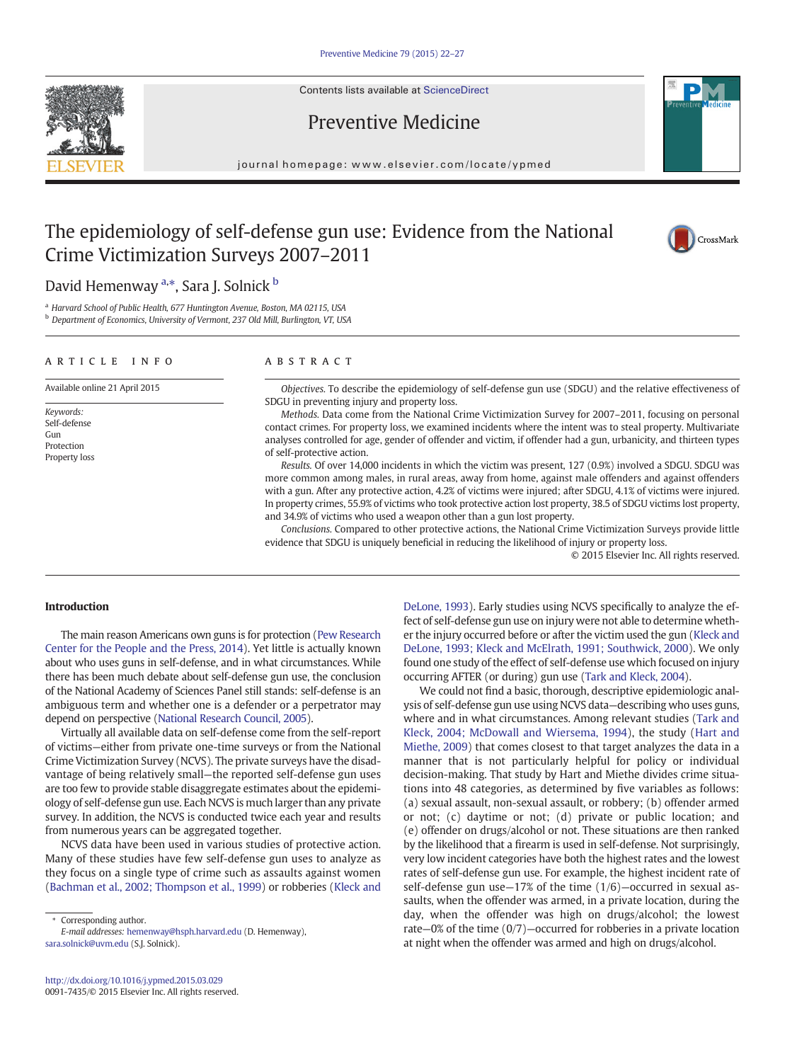Contents lists available at [ScienceDirect](http://www.sciencedirect.com/science/journal/00917435)



# Preventive Medicine

journal homepage: www.elsevier.com/locate/ypmed

## The epidemiology of self-defense gun use: Evidence from the National Crime Victimization Surveys 2007–2011



## David Hemenway <sup>a,\*</sup>, Sara J. Solnick <sup>b</sup>

<sup>a</sup> Harvard School of Public Health, 677 Huntington Avenue, Boston, MA 02115, USA **b** Department of Economics, University of Vermont, 237 Old Mill, Burlington, VT, USA

#### article info abstract

Available online 21 April 2015

Keywords: Self-defense Gun Protection Property loss

Objectives. To describe the epidemiology of self-defense gun use (SDGU) and the relative effectiveness of SDGU in preventing injury and property loss.

Methods. Data come from the National Crime Victimization Survey for 2007–2011, focusing on personal contact crimes. For property loss, we examined incidents where the intent was to steal property. Multivariate analyses controlled for age, gender of offender and victim, if offender had a gun, urbanicity, and thirteen types of self-protective action.

Results. Of over 14,000 incidents in which the victim was present, 127 (0.9%) involved a SDGU. SDGU was more common among males, in rural areas, away from home, against male offenders and against offenders with a gun. After any protective action, 4.2% of victims were injured; after SDGU, 4.1% of victims were injured. In property crimes, 55.9% of victims who took protective action lost property, 38.5 of SDGU victims lost property, and 34.9% of victims who used a weapon other than a gun lost property.

Conclusions. Compared to other protective actions, the National Crime Victimization Surveys provide little evidence that SDGU is uniquely beneficial in reducing the likelihood of injury or property loss.

© 2015 Elsevier Inc. All rights reserved.

### Introduction

The main reason Americans own guns is for protection [\(Pew Research](#page-5-0) [Center for the People and the Press, 2014\)](#page-5-0). Yet little is actually known about who uses guns in self-defense, and in what circumstances. While there has been much debate about self-defense gun use, the conclusion of the National Academy of Sciences Panel still stands: self-defense is an ambiguous term and whether one is a defender or a perpetrator may depend on perspective [\(National Research Council, 2005](#page-5-0)).

Virtually all available data on self-defense come from the self-report of victims—either from private one-time surveys or from the National Crime Victimization Survey (NCVS). The private surveys have the disadvantage of being relatively small—the reported self-defense gun uses are too few to provide stable disaggregate estimates about the epidemiology of self-defense gun use. Each NCVS is much larger than any private survey. In addition, the NCVS is conducted twice each year and results from numerous years can be aggregated together.

NCVS data have been used in various studies of protective action. Many of these studies have few self-defense gun uses to analyze as they focus on a single type of crime such as assaults against women [\(Bachman et al., 2002; Thompson et al., 1999](#page-5-0)) or robberies ([Kleck and](#page-5-0)

⁎ Corresponding author.

E-mail addresses: [hemenway@hsph.harvard.edu](mailto:hemenway@hsph.harvard.edu) (D. Hemenway), [sara.solnick@uvm.edu](mailto:sara.solnick@uvm.edu) (S.J. Solnick).

[DeLone, 1993](#page-5-0)). Early studies using NCVS specifically to analyze the effect of self-defense gun use on injury were not able to determine whether the injury occurred before or after the victim used the gun [\(Kleck and](#page-5-0) [DeLone, 1993; Kleck and McElrath, 1991; Southwick, 2000\)](#page-5-0). We only found one study of the effect of self-defense use which focused on injury occurring AFTER (or during) gun use ([Tark and Kleck, 2004\)](#page-5-0).

We could not find a basic, thorough, descriptive epidemiologic analysis of self-defense gun use using NCVS data—describing who uses guns, where and in what circumstances. Among relevant studies ([Tark and](#page-5-0) [Kleck, 2004; McDowall and Wiersema, 1994\)](#page-5-0), the study ([Hart and](#page-5-0) [Miethe, 2009\)](#page-5-0) that comes closest to that target analyzes the data in a manner that is not particularly helpful for policy or individual decision-making. That study by Hart and Miethe divides crime situations into 48 categories, as determined by five variables as follows: (a) sexual assault, non-sexual assault, or robbery; (b) offender armed or not; (c) daytime or not; (d) private or public location; and (e) offender on drugs/alcohol or not. These situations are then ranked by the likelihood that a firearm is used in self-defense. Not surprisingly, very low incident categories have both the highest rates and the lowest rates of self-defense gun use. For example, the highest incident rate of self-defense gun use—17% of the time (1/6)—occurred in sexual assaults, when the offender was armed, in a private location, during the day, when the offender was high on drugs/alcohol; the lowest rate—0% of the time (0/7)—occurred for robberies in a private location at night when the offender was armed and high on drugs/alcohol.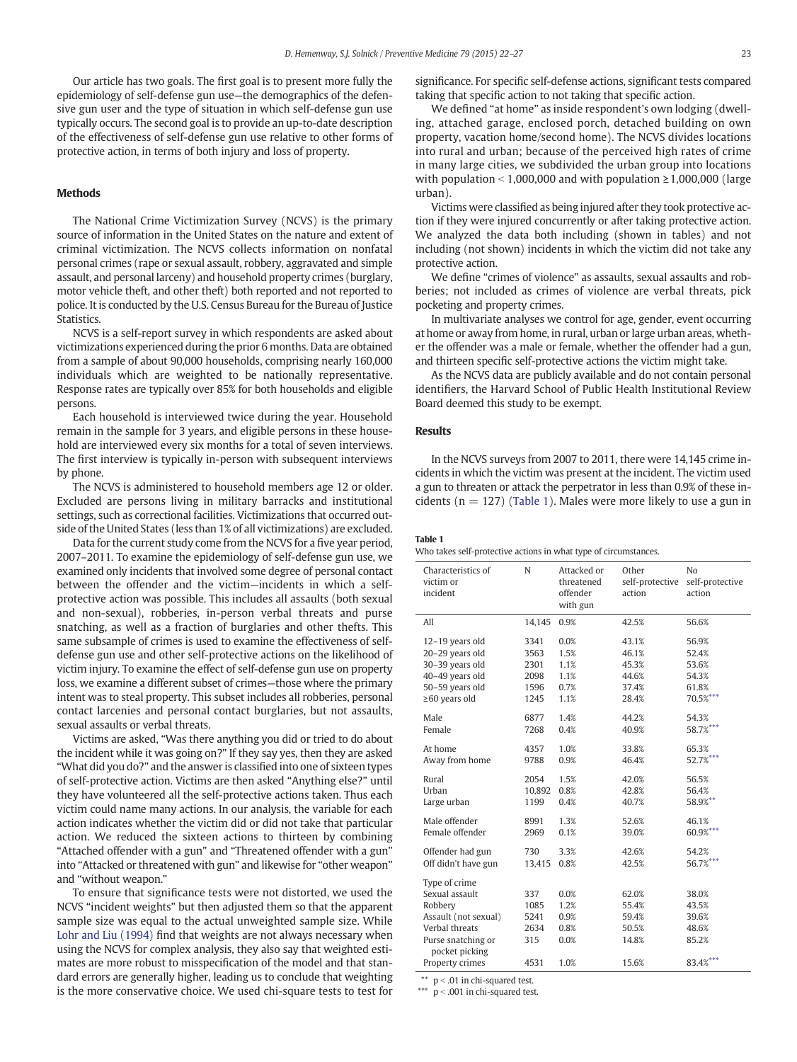Our article has two goals. The first goal is to present more fully the epidemiology of self-defense gun use—the demographics of the defensive gun user and the type of situation in which self-defense gun use typically occurs. The second goal is to provide an up-to-date description of the effectiveness of self-defense gun use relative to other forms of protective action, in terms of both injury and loss of property.

#### Methods

The National Crime Victimization Survey (NCVS) is the primary source of information in the United States on the nature and extent of criminal victimization. The NCVS collects information on nonfatal personal crimes (rape or sexual assault, robbery, aggravated and simple assault, and personal larceny) and household property crimes (burglary, motor vehicle theft, and other theft) both reported and not reported to police. It is conducted by the U.S. Census Bureau for the Bureau of Justice Statistics.

NCVS is a self-report survey in which respondents are asked about victimizations experienced during the prior 6 months. Data are obtained from a sample of about 90,000 households, comprising nearly 160,000 individuals which are weighted to be nationally representative. Response rates are typically over 85% for both households and eligible persons.

Each household is interviewed twice during the year. Household remain in the sample for 3 years, and eligible persons in these household are interviewed every six months for a total of seven interviews. The first interview is typically in-person with subsequent interviews by phone.

The NCVS is administered to household members age 12 or older. Excluded are persons living in military barracks and institutional settings, such as correctional facilities. Victimizations that occurred outside of the United States (less than 1% of all victimizations) are excluded.

Data for the current study come from the NCVS for a five year period, 2007–2011. To examine the epidemiology of self-defense gun use, we examined only incidents that involved some degree of personal contact between the offender and the victim—incidents in which a selfprotective action was possible. This includes all assaults (both sexual and non-sexual), robberies, in-person verbal threats and purse snatching, as well as a fraction of burglaries and other thefts. This same subsample of crimes is used to examine the effectiveness of selfdefense gun use and other self-protective actions on the likelihood of victim injury. To examine the effect of self-defense gun use on property loss, we examine a different subset of crimes—those where the primary intent was to steal property. This subset includes all robberies, personal contact larcenies and personal contact burglaries, but not assaults, sexual assaults or verbal threats.

Victims are asked, "Was there anything you did or tried to do about the incident while it was going on?" If they say yes, then they are asked "What did you do?" and the answer is classified into one of sixteen types of self-protective action. Victims are then asked "Anything else?" until they have volunteered all the self-protective actions taken. Thus each victim could name many actions. In our analysis, the variable for each action indicates whether the victim did or did not take that particular action. We reduced the sixteen actions to thirteen by combining "Attached offender with a gun" and "Threatened offender with a gun" into "Attacked or threatened with gun" and likewise for "other weapon" and "without weapon."

To ensure that significance tests were not distorted, we used the NCVS "incident weights" but then adjusted them so that the apparent sample size was equal to the actual unweighted sample size. While [Lohr and Liu \(1994\)](#page-5-0) find that weights are not always necessary when using the NCVS for complex analysis, they also say that weighted estimates are more robust to misspecification of the model and that standard errors are generally higher, leading us to conclude that weighting is the more conservative choice. We used chi-square tests to test for

significance. For specific self-defense actions, significant tests compared taking that specific action to not taking that specific action.

We defined "at home" as inside respondent's own lodging (dwelling, attached garage, enclosed porch, detached building on own property, vacation home/second home). The NCVS divides locations into rural and urban; because of the perceived high rates of crime in many large cities, we subdivided the urban group into locations with population < 1,000,000 and with population  $\ge$  1,000,000 (large urban).

Victims were classified as being injured after they took protective action if they were injured concurrently or after taking protective action. We analyzed the data both including (shown in tables) and not including (not shown) incidents in which the victim did not take any protective action.

We define "crimes of violence" as assaults, sexual assaults and robberies; not included as crimes of violence are verbal threats, pick pocketing and property crimes.

In multivariate analyses we control for age, gender, event occurring at home or away from home, in rural, urban or large urban areas, whether the offender was a male or female, whether the offender had a gun, and thirteen specific self-protective actions the victim might take.

As the NCVS data are publicly available and do not contain personal identifiers, the Harvard School of Public Health Institutional Review Board deemed this study to be exempt.

#### Results

In the NCVS surveys from 2007 to 2011, there were 14,145 crime incidents in which the victim was present at the incident. The victim used a gun to threaten or attack the perpetrator in less than 0.9% of these incidents ( $n = 127$ ) (Table 1). Males were more likely to use a gun in

#### Table 1

|  |  |  |  |  | Who takes self-protective actions in what type of circumstances. |
|--|--|--|--|--|------------------------------------------------------------------|
|--|--|--|--|--|------------------------------------------------------------------|

| Characteristics of<br>victim or<br>incident                                                                                                     | N                                          | Attacked or<br>threatened<br>offender<br>with gun | Other<br>self-protective<br>action                 | No<br>self-protective<br>action                       |
|-------------------------------------------------------------------------------------------------------------------------------------------------|--------------------------------------------|---------------------------------------------------|----------------------------------------------------|-------------------------------------------------------|
| All                                                                                                                                             | 14,145                                     | 0.9%                                              | 42.5%                                              | 56.6%                                                 |
| 12-19 years old                                                                                                                                 | 3341                                       | 0.0%                                              | 43.1%                                              | 56.9%                                                 |
| 20-29 years old                                                                                                                                 | 3563                                       | 1.5%                                              | 46.1%                                              | 52.4%                                                 |
| 30-39 years old                                                                                                                                 | 2301                                       | 1.1%                                              | 45.3%                                              | 53.6%                                                 |
| 40-49 years old                                                                                                                                 | 2098                                       | 1.1%                                              | 44.6%                                              | 54.3%                                                 |
| 50-59 years old                                                                                                                                 | 1596                                       | 0.7%                                              | 37.4%                                              | 61.8%                                                 |
| $\geq 60$ years old                                                                                                                             | 1245                                       | 1.1%                                              | 28.4%                                              | $70.5%$ ***                                           |
| Male                                                                                                                                            | 6877                                       | 1.4%                                              | 44.2%                                              | 54.3%                                                 |
| Female                                                                                                                                          | 7268                                       | 0.4%                                              | 40.9%                                              | 58.7%***                                              |
| At home                                                                                                                                         | 4357                                       | 1.0%                                              | 33.8%                                              | 65.3%                                                 |
| Away from home                                                                                                                                  | 9788                                       | 0.9%                                              | 46.4%                                              | 52.7%***                                              |
| Rural                                                                                                                                           | 2054                                       | 1.5%                                              | 42.0%                                              | 56.5%                                                 |
| Urban                                                                                                                                           | 10,892                                     | 0.8%                                              | 42.8%                                              | 56.4%                                                 |
| Large urban                                                                                                                                     | 1199                                       | 0.4%                                              | 40.7%                                              | 58.9%**                                               |
| Male offender                                                                                                                                   | 8991                                       | 1.3%                                              | 52.6%                                              | 46.1%                                                 |
| Female offender                                                                                                                                 | 2969                                       | 0.1%                                              | 39.0%                                              | 60.9%***                                              |
| Offender had gun                                                                                                                                | 730                                        | 3.3%                                              | 42.6%                                              | 54.2%                                                 |
| Off didn't have gun                                                                                                                             | 13,415                                     | 0.8%                                              | 42.5%                                              | 56.7%***                                              |
| Type of crime<br>Sexual assault<br>Robbery<br>Assault (not sexual)<br>Verbal threats<br>Purse snatching or<br>pocket picking<br>Property crimes | 337<br>1085<br>5241<br>2634<br>315<br>4531 | 0.0%<br>1.2%<br>0.9%<br>0.8%<br>0.0%<br>1.0%      | 62.0%<br>55.4%<br>59.4%<br>50.5%<br>14.8%<br>15.6% | 38.0%<br>43.5%<br>39.6%<br>48.6%<br>85.2%<br>83.4%*** |

 $*$  p < .01 in chi-squared test.

\*\*\*  $p < .001$  in chi-squared test.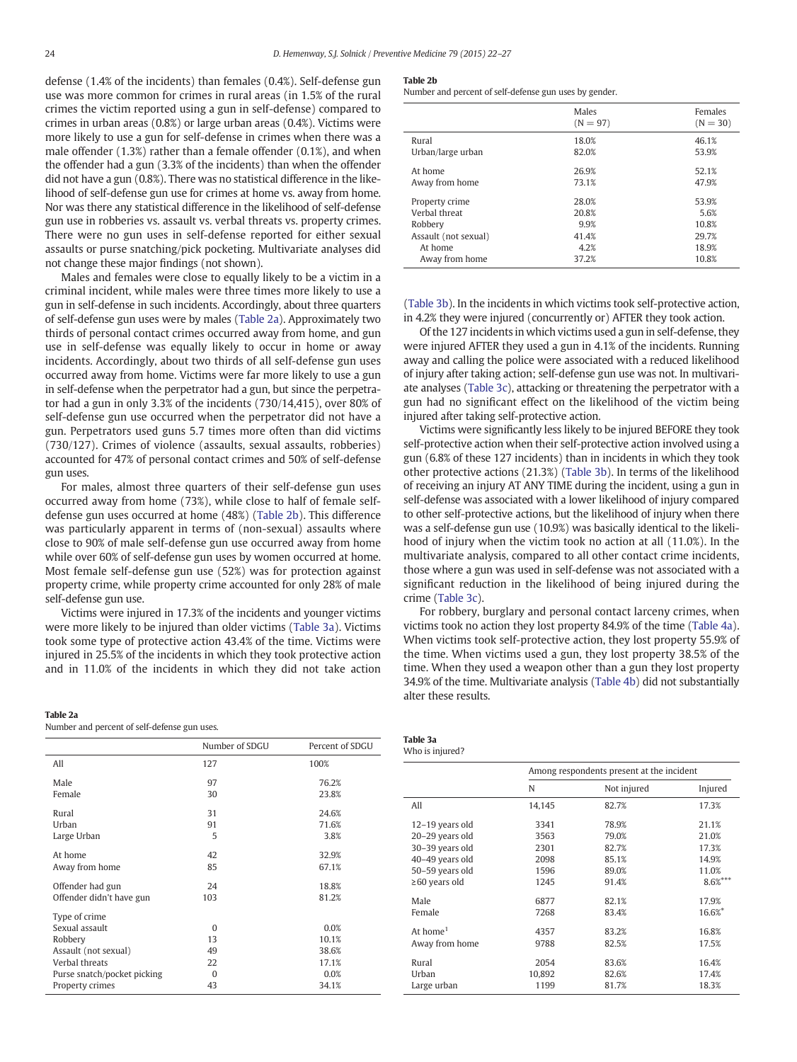defense (1.4% of the incidents) than females (0.4%). Self-defense gun use was more common for crimes in rural areas (in 1.5% of the rural crimes the victim reported using a gun in self-defense) compared to crimes in urban areas (0.8%) or large urban areas (0.4%). Victims were more likely to use a gun for self-defense in crimes when there was a male offender (1.3%) rather than a female offender (0.1%), and when the offender had a gun (3.3% of the incidents) than when the offender did not have a gun (0.8%). There was no statistical difference in the likelihood of self-defense gun use for crimes at home vs. away from home. Nor was there any statistical difference in the likelihood of self-defense gun use in robberies vs. assault vs. verbal threats vs. property crimes. There were no gun uses in self-defense reported for either sexual assaults or purse snatching/pick pocketing. Multivariate analyses did not change these major findings (not shown).

Males and females were close to equally likely to be a victim in a criminal incident, while males were three times more likely to use a gun in self-defense in such incidents. Accordingly, about three quarters of self-defense gun uses were by males (Table 2a). Approximately two thirds of personal contact crimes occurred away from home, and gun use in self-defense was equally likely to occur in home or away incidents. Accordingly, about two thirds of all self-defense gun uses occurred away from home. Victims were far more likely to use a gun in self-defense when the perpetrator had a gun, but since the perpetrator had a gun in only 3.3% of the incidents (730/14,415), over 80% of self-defense gun use occurred when the perpetrator did not have a gun. Perpetrators used guns 5.7 times more often than did victims (730/127). Crimes of violence (assaults, sexual assaults, robberies) accounted for 47% of personal contact crimes and 50% of self-defense gun uses.

For males, almost three quarters of their self-defense gun uses occurred away from home (73%), while close to half of female selfdefense gun uses occurred at home (48%) (Table 2b). This difference was particularly apparent in terms of (non-sexual) assaults where close to 90% of male self-defense gun use occurred away from home while over 60% of self-defense gun uses by women occurred at home. Most female self-defense gun use (52%) was for protection against property crime, while property crime accounted for only 28% of male self-defense gun use.

Victims were injured in 17.3% of the incidents and younger victims were more likely to be injured than older victims (Table 3a). Victims took some type of protective action 43.4% of the time. Victims were injured in 25.5% of the incidents in which they took protective action and in 11.0% of the incidents in which they did not take action

#### Table 2a

Number and percent of self-defense gun uses.

|                             | Number of SDGU | Percent of SDGU |
|-----------------------------|----------------|-----------------|
| All                         | 127            | 100%            |
| Male                        | 97             | 76.2%           |
| Female                      | 30             | 23.8%           |
| Rural                       | 31             | 24.6%           |
| Urban                       | 91             | 71.6%           |
| Large Urban                 | 5              | 3.8%            |
| At home                     | 42             | 32.9%           |
| Away from home              | 85             | 67.1%           |
| Offender had gun            | 24             | 18.8%           |
| Offender didn't have gun    | 103            | 81.2%           |
| Type of crime               |                |                 |
| Sexual assault              | $\Omega$       | 0.0%            |
| Robbery                     | 13             | 10.1%           |
| Assault (not sexual)        | 49             | 38.6%           |
| Verbal threats              | 22             | 17.1%           |
| Purse snatch/pocket picking | $\Omega$       | 0.0%            |
| Property crimes             | 43             | 34.1%           |

#### Table 2b

Number and percent of self-defense gun uses by gender.

|                      | Males<br>$(N = 97)$ | Females<br>$(N = 30)$ |
|----------------------|---------------------|-----------------------|
| Rural                | 18.0%               | 46.1%                 |
| Urban/large urban    | 82.0%               | 53.9%                 |
| At home              | 26.9%               | 52.1%                 |
| Away from home       | 73.1%               | 47.9%                 |
| Property crime       | 28.0%               | 53.9%                 |
| Verbal threat        | 20.8%               | 5.6%                  |
| Robbery              | 9.9%                | 10.8%                 |
| Assault (not sexual) | 41.4%               | 29.7%                 |
| At home              | 4.2%                | 18.9%                 |
| Away from home       | 37.2%               | 10.8%                 |

[\(Table 3b\)](#page-3-0). In the incidents in which victims took self-protective action, in 4.2% they were injured (concurrently or) AFTER they took action.

Of the 127 incidents in which victims used a gun in self-defense, they were injured AFTER they used a gun in 4.1% of the incidents. Running away and calling the police were associated with a reduced likelihood of injury after taking action; self-defense gun use was not. In multivariate analyses [\(Table 3c](#page-3-0)), attacking or threatening the perpetrator with a gun had no significant effect on the likelihood of the victim being injured after taking self-protective action.

Victims were significantly less likely to be injured BEFORE they took self-protective action when their self-protective action involved using a gun (6.8% of these 127 incidents) than in incidents in which they took other protective actions (21.3%) ([Table 3b\)](#page-3-0). In terms of the likelihood of receiving an injury AT ANY TIME during the incident, using a gun in self-defense was associated with a lower likelihood of injury compared to other self-protective actions, but the likelihood of injury when there was a self-defense gun use (10.9%) was basically identical to the likelihood of injury when the victim took no action at all (11.0%). In the multivariate analysis, compared to all other contact crime incidents, those where a gun was used in self-defense was not associated with a significant reduction in the likelihood of being injured during the crime ([Table 3c\)](#page-3-0).

For robbery, burglary and personal contact larceny crimes, when victims took no action they lost property 84.9% of the time ([Table 4a](#page-4-0)). When victims took self-protective action, they lost property 55.9% of the time. When victims used a gun, they lost property 38.5% of the time. When they used a weapon other than a gun they lost property 34.9% of the time. Multivariate analysis [\(Table 4b\)](#page-4-0) did not substantially alter these results.

| Table 3a        |
|-----------------|
| Who is injured? |

|                      | Among respondents present at the incident |             |              |  |
|----------------------|-------------------------------------------|-------------|--------------|--|
|                      | N                                         | Not injured | Injured      |  |
| All                  | 14,145                                    | 82.7%       | 17.3%        |  |
| $12-19$ years old    | 3341                                      | 78.9%       | 21.1%        |  |
| 20-29 years old      | 3563                                      | 79.0%       | 21.0%        |  |
| 30-39 years old      | 2301                                      | 82.7%       | 17.3%        |  |
| 40-49 years old      | 2098                                      | 85.1%       | 14.9%        |  |
| 50-59 years old      | 1596                                      | 89.0%       | 11.0%        |  |
| $\geq 60$ years old  | 1245                                      | 91.4%       | $8.6%^{***}$ |  |
| Male                 | 6877                                      | 82.1%       | 17.9%        |  |
| Female               | 7268                                      | 83.4%       | 16.6%*       |  |
| At home <sup>1</sup> | 4357                                      | 83.2%       | 16.8%        |  |
| Away from home       | 9788                                      | 82.5%       | 17.5%        |  |
| Rural                | 2054                                      | 83.6%       | 16.4%        |  |
| Urban                | 10,892                                    | 82.6%       | 17.4%        |  |
| Large urban          | 1199                                      | 81.7%       | 18.3%        |  |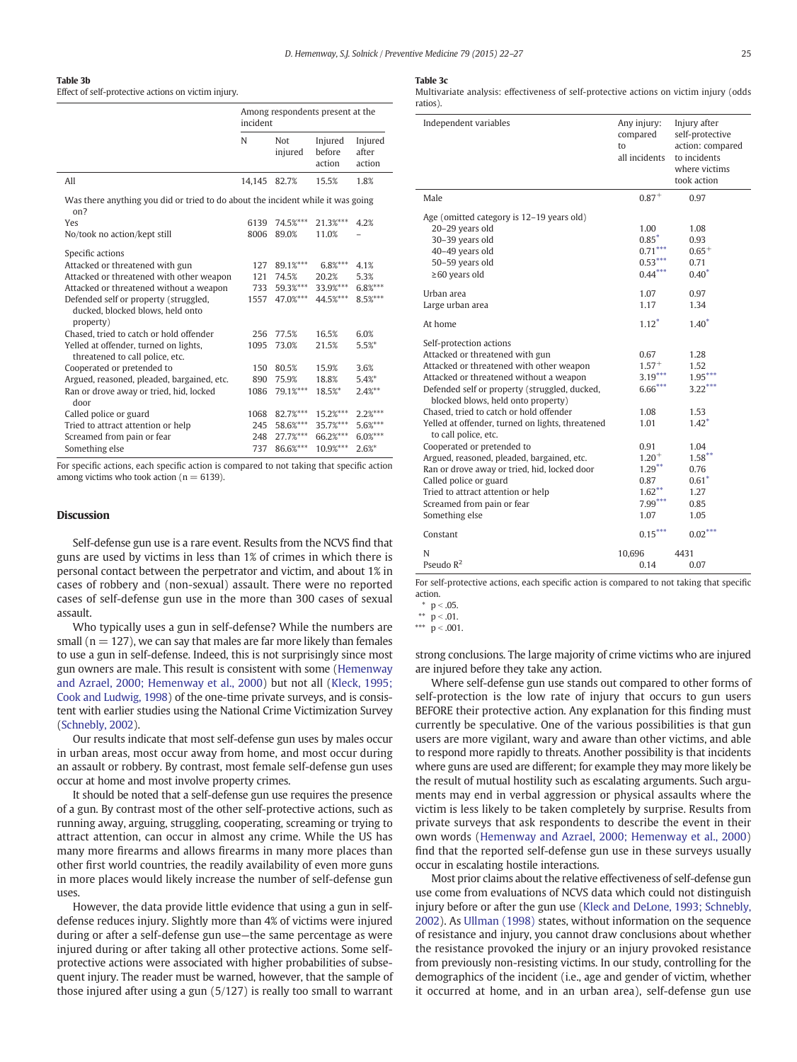#### <span id="page-3-0"></span>Table 3b

Effect of self-protective actions on victim injury.

|                                                                                        | Among respondents present at the<br>incident |                |                             |                            |
|----------------------------------------------------------------------------------------|----------------------------------------------|----------------|-----------------------------|----------------------------|
|                                                                                        | N                                            | Not<br>injured | Injured<br>before<br>action | Injured<br>after<br>action |
| All                                                                                    | 14,145 82.7%                                 |                | 15.5%                       | 1.8%                       |
| Was there anything you did or tried to do about the incident while it was going<br>on? |                                              |                |                             |                            |
| Yes                                                                                    | 6139                                         | 74.5%***       | 21.3%***                    | 4.2%                       |
| No/took no action/kept still                                                           | 8006                                         | 89.0%          | 11.0%                       |                            |
|                                                                                        |                                              |                |                             |                            |
| Specific actions                                                                       |                                              |                |                             |                            |
| Attacked or threatened with gun                                                        | 127                                          | 89.1%***       | $6.8%***$                   | 4.1%                       |
| Attacked or threatened with other weapon                                               | 121                                          | 74.5%          | 20.2%                       | 5.3%                       |
| Attacked or threatened without a weapon                                                | 733                                          | 59.3%***       | 33.9%***                    | $6.8%***$                  |
| Defended self or property (struggled,<br>ducked, blocked blows, held onto<br>property) | 1557                                         | 47.0%***       | 44.5%***                    | 8.5%***                    |
| Chased, tried to catch or hold offender                                                | 256                                          | 77.5%          | 16.5%                       | 6.0%                       |
| Yelled at offender, turned on lights,<br>threatened to call police, etc.               | 1095                                         | 73.0%          | 21.5%                       | 5.5%                       |
| Cooperated or pretended to                                                             | 150                                          | 80.5%          | 15.9%                       | 3.6%                       |
| Argued, reasoned, pleaded, bargained, etc.                                             | 890                                          | 75.9%          | 18.8%                       | 5.4%                       |
| Ran or drove away or tried, hid, locked<br>door                                        | 1086                                         | 79.1%***       | 18.5%*                      | $2.4%^{**}$                |
| Called police or guard                                                                 | 1068                                         | 82.7%***       | 15.2%***                    | $2.2%***$                  |
| Tried to attract attention or help                                                     | 245                                          | 58.6%***       | 35.7%***                    | 5.6%***                    |
| Screamed from pain or fear                                                             | 248                                          | 27.7%***       | 66.2%***                    | $6.0%***$                  |
| Something else                                                                         | 737                                          | 86.6%***       | 10.9%***                    | 2.6%                       |

For specific actions, each specific action is compared to not taking that specific action among victims who took action ( $n = 6139$ ).

#### **Discussion**

Self-defense gun use is a rare event. Results from the NCVS find that guns are used by victims in less than 1% of crimes in which there is personal contact between the perpetrator and victim, and about 1% in cases of robbery and (non-sexual) assault. There were no reported cases of self-defense gun use in the more than 300 cases of sexual assault.

Who typically uses a gun in self-defense? While the numbers are small ( $n = 127$ ), we can say that males are far more likely than females to use a gun in self-defense. Indeed, this is not surprisingly since most gun owners are male. This result is consistent with some [\(Hemenway](#page-5-0) [and Azrael, 2000; Hemenway et al., 2000](#page-5-0)) but not all ([Kleck, 1995;](#page-5-0) [Cook and Ludwig, 1998](#page-5-0)) of the one-time private surveys, and is consistent with earlier studies using the National Crime Victimization Survey [\(Schnebly, 2002\)](#page-5-0).

Our results indicate that most self-defense gun uses by males occur in urban areas, most occur away from home, and most occur during an assault or robbery. By contrast, most female self-defense gun uses occur at home and most involve property crimes.

It should be noted that a self-defense gun use requires the presence of a gun. By contrast most of the other self-protective actions, such as running away, arguing, struggling, cooperating, screaming or trying to attract attention, can occur in almost any crime. While the US has many more firearms and allows firearms in many more places than other first world countries, the readily availability of even more guns in more places would likely increase the number of self-defense gun uses.

However, the data provide little evidence that using a gun in selfdefense reduces injury. Slightly more than 4% of victims were injured during or after a self-defense gun use—the same percentage as were injured during or after taking all other protective actions. Some selfprotective actions were associated with higher probabilities of subsequent injury. The reader must be warned, however, that the sample of those injured after using a gun (5/127) is really too small to warrant

#### Table 3c

Multivariate analysis: effectiveness of self-protective actions on victim injury (odds ratios).

| Independent variables                                                                                                                                                                                                                                                                                                                                                                                                                                                                                                                                                                                       | Any injury:<br>compared<br>to<br>all incidents                                                                                       | Injury after<br>self-protective<br>action: compared<br>to incidents<br>where victims<br>took action                       |
|-------------------------------------------------------------------------------------------------------------------------------------------------------------------------------------------------------------------------------------------------------------------------------------------------------------------------------------------------------------------------------------------------------------------------------------------------------------------------------------------------------------------------------------------------------------------------------------------------------------|--------------------------------------------------------------------------------------------------------------------------------------|---------------------------------------------------------------------------------------------------------------------------|
| Male                                                                                                                                                                                                                                                                                                                                                                                                                                                                                                                                                                                                        | $0.87+$                                                                                                                              | 0.97                                                                                                                      |
| Age (omitted category is 12-19 years old)<br>20-29 years old<br>30-39 years old<br>40-49 years old<br>50-59 years old<br>$\geq 60$ years old                                                                                                                                                                                                                                                                                                                                                                                                                                                                | 1.00<br>$0.85*$<br>$0.71***$<br>$0.53***$<br>$0.44***$                                                                               | 1.08<br>0.93<br>$0.65+$<br>0.71<br>$0.40*$                                                                                |
| Urban area<br>Large urban area                                                                                                                                                                                                                                                                                                                                                                                                                                                                                                                                                                              | 1.07<br>1.17                                                                                                                         | 0.97<br>1.34                                                                                                              |
| At home                                                                                                                                                                                                                                                                                                                                                                                                                                                                                                                                                                                                     | $1.12*$                                                                                                                              | $1.40*$                                                                                                                   |
| Self-protection actions<br>Attacked or threatened with gun<br>Attacked or threatened with other weapon<br>Attacked or threatened without a weapon<br>Defended self or property (struggled, ducked,<br>blocked blows, held onto property)<br>Chased, tried to catch or hold offender<br>Yelled at offender, turned on lights, threatened<br>to call police, etc.<br>Cooperated or pretended to<br>Argued, reasoned, pleaded, bargained, etc.<br>Ran or drove away or tried, hid, locked door<br>Called police or guard<br>Tried to attract attention or help<br>Screamed from pain or fear<br>Something else | 0.67<br>$1.57+$<br>$3.19***$<br>$6.66***$<br>1.08<br>1.01<br>0.91<br>$1.20 +$<br>$1.29***$<br>0.87<br>$1.62***$<br>$7.99***$<br>1.07 | 1.28<br>1.52<br>$1.95***$<br>$3.22***$<br>1.53<br>$1.42*$<br>1.04<br>$1.58***$<br>0.76<br>$0.61*$<br>1.27<br>0.85<br>1.05 |
| Constant                                                                                                                                                                                                                                                                                                                                                                                                                                                                                                                                                                                                    | $0.15***$                                                                                                                            | $0.02***$                                                                                                                 |
| N<br>Pseudo $R^2$                                                                                                                                                                                                                                                                                                                                                                                                                                                                                                                                                                                           | 10.696<br>0.14                                                                                                                       | 4431<br>0.07                                                                                                              |

For self-protective actions, each specific action is compared to not taking that specific action.

 $p < .05$ .

\*\*  $p < .01$ .

\*\*\*  $p < .001$ .

strong conclusions. The large majority of crime victims who are injured are injured before they take any action.

Where self-defense gun use stands out compared to other forms of self-protection is the low rate of injury that occurs to gun users BEFORE their protective action. Any explanation for this finding must currently be speculative. One of the various possibilities is that gun users are more vigilant, wary and aware than other victims, and able to respond more rapidly to threats. Another possibility is that incidents where guns are used are different; for example they may more likely be the result of mutual hostility such as escalating arguments. Such arguments may end in verbal aggression or physical assaults where the victim is less likely to be taken completely by surprise. Results from private surveys that ask respondents to describe the event in their own words ([Hemenway and Azrael, 2000; Hemenway et al., 2000](#page-5-0)) find that the reported self-defense gun use in these surveys usually occur in escalating hostile interactions.

Most prior claims about the relative effectiveness of self-defense gun use come from evaluations of NCVS data which could not distinguish injury before or after the gun use [\(Kleck and DeLone, 1993; Schnebly,](#page-5-0) [2002\)](#page-5-0). As [Ullman \(1998\)](#page-5-0) states, without information on the sequence of resistance and injury, you cannot draw conclusions about whether the resistance provoked the injury or an injury provoked resistance from previously non-resisting victims. In our study, controlling for the demographics of the incident (i.e., age and gender of victim, whether it occurred at home, and in an urban area), self-defense gun use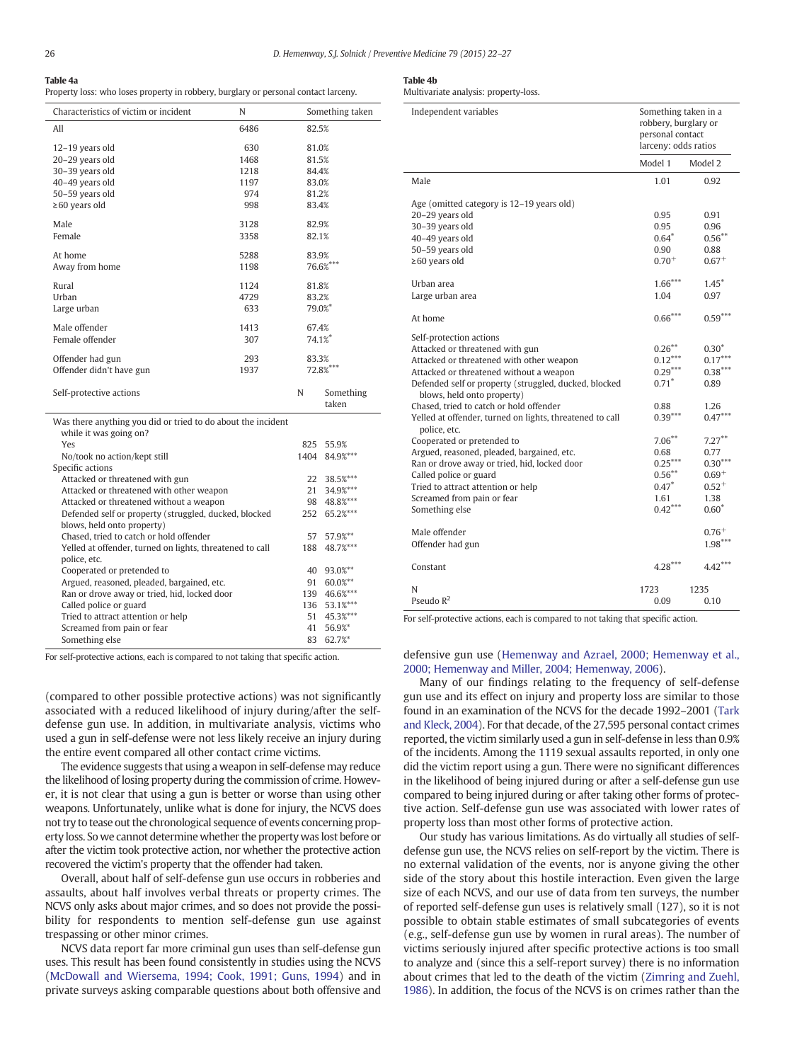### <span id="page-4-0"></span>Table 4a

Property loss: who loses property in robbery, burglary or personal contact larceny.

| Characteristics of victim or incident                        | N                            |             | Something taken    |  |
|--------------------------------------------------------------|------------------------------|-------------|--------------------|--|
| All                                                          | 6486                         | 82.5%       |                    |  |
| 12-19 years old                                              | 630                          | 81.0%       |                    |  |
| 20-29 years old                                              | 1468                         | 81.5%       |                    |  |
| 30-39 years old                                              | 1218                         | 84.4%       |                    |  |
| 40-49 years old                                              | 1197                         | 83.0%       |                    |  |
| 50-59 years old                                              | 974                          | 81.2%       |                    |  |
| $\geq 60$ years old                                          | 998                          | 83.4%       |                    |  |
| Male                                                         | 3128                         | 82.9%       |                    |  |
| Female                                                       | 3358                         | 82.1%       |                    |  |
| At home                                                      | 5288                         | 83.9%       |                    |  |
| Away from home                                               | 1198                         |             | 76.6%***           |  |
| Rural                                                        | 1124                         | 81.8%       |                    |  |
| Urban                                                        | 4729                         | 83.2%       |                    |  |
| Large urban                                                  | 633                          | 79.0%*      |                    |  |
| Male offender                                                | 1413                         | 67.4%       |                    |  |
| Female offender                                              | 307                          | 74.1%       |                    |  |
| Offender had gun                                             | 293                          | 83.3%       |                    |  |
| Offender didn't have gun                                     | 1937                         | 72.8%***    |                    |  |
| Self-protective actions                                      |                              | N           | Something<br>taken |  |
| Was there anything you did or tried to do about the incident |                              |             |                    |  |
| while it was going on?                                       |                              |             |                    |  |
| Yes                                                          |                              | 825<br>1404 | 55.9%              |  |
| Specific actions                                             | No/took no action/kept still |             | 84.9%***           |  |
| Attacked or threatened with gun                              |                              | 22          | 38.5%***           |  |
| Attacked or threatened with other weapon                     |                              | 21          | 34.9%***           |  |
| Attacked or threatened without a weapon                      |                              | 98          | 48.8%***           |  |
| Defended self or property (struggled, ducked, blocked        |                              | 252         | 65.2%***           |  |
| blows, held onto property)                                   |                              |             |                    |  |
| Chased, tried to catch or hold offender                      |                              | 57          | 57.9%**            |  |
| Yelled at offender, turned on lights, threatened to call     |                              | 188         | 48.7%***           |  |
| police etc                                                   |                              |             |                    |  |

| Chased, tried to catch or hold offender                  |     | 57 57.9%**   |    |
|----------------------------------------------------------|-----|--------------|----|
| Yelled at offender, turned on lights, threatened to call |     | 188 48.7%*** |    |
| police, etc.                                             |     |              |    |
| Cooperated or pretended to                               | 40  | 93.0%**      |    |
| Argued, reasoned, pleaded, bargained, etc.               | 91  | 60.0%**      |    |
| Ran or drove away or tried, hid, locked door             | 139 | 46.6%***     |    |
| Called police or guard                                   |     | 136 53.1%*** |    |
| Tried to attract attention or help                       |     | 51 45.3%***  | Fc |
| Screamed from pain or fear                               |     | 41 56.9%*    |    |
| Something else                                           |     | $83.627\%$   |    |

For self-protective actions, each is compared to not taking that specific action.

Something else

(compared to other possible protective actions) was not significantly associated with a reduced likelihood of injury during/after the selfdefense gun use. In addition, in multivariate analysis, victims who used a gun in self-defense were not less likely receive an injury during the entire event compared all other contact crime victims.

The evidence suggests that using a weapon in self-defense may reduce the likelihood of losing property during the commission of crime. However, it is not clear that using a gun is better or worse than using other weapons. Unfortunately, unlike what is done for injury, the NCVS does not try to tease out the chronological sequence of events concerning property loss. So we cannot determine whether the property was lost before or after the victim took protective action, nor whether the protective action recovered the victim's property that the offender had taken.

Overall, about half of self-defense gun use occurs in robberies and assaults, about half involves verbal threats or property crimes. The NCVS only asks about major crimes, and so does not provide the possibility for respondents to mention self-defense gun use against trespassing or other minor crimes.

NCVS data report far more criminal gun uses than self-defense gun uses. This result has been found consistently in studies using the NCVS [\(McDowall and Wiersema, 1994; Cook, 1991; Guns, 1994](#page-5-0)) and in private surveys asking comparable questions about both offensive and

| . .<br>. .<br>. .<br>$\sim$ |  |
|-----------------------------|--|
|-----------------------------|--|

Multivariate analysis: property-loss.

| Independent variables                                                                                                                                                                                                                                                                                                                                           | Something taken in a<br>robbery, burglary or<br>personal contact<br>larceny: odds ratios |                                                                            |
|-----------------------------------------------------------------------------------------------------------------------------------------------------------------------------------------------------------------------------------------------------------------------------------------------------------------------------------------------------------------|------------------------------------------------------------------------------------------|----------------------------------------------------------------------------|
|                                                                                                                                                                                                                                                                                                                                                                 | Model 1                                                                                  | Model 2                                                                    |
| Male                                                                                                                                                                                                                                                                                                                                                            | 1.01                                                                                     | 0.92                                                                       |
| Age (omitted category is 12-19 years old)<br>20-29 years old<br>30-39 years old<br>40-49 years old<br>50-59 years old<br>$\geq 60$ years old                                                                                                                                                                                                                    | 0.95<br>0.95<br>$0.64*$<br>0.90<br>$0.70^{+}$                                            | 0.91<br>0.96<br>$0.56***$<br>0.88<br>$0.67+$                               |
| Urban area<br>Large urban area                                                                                                                                                                                                                                                                                                                                  | $1.66***$<br>1.04                                                                        | $1.45^*$<br>0.97                                                           |
| At home                                                                                                                                                                                                                                                                                                                                                         | $0.66***$                                                                                | $0.59***$                                                                  |
| Self-protection actions<br>Attacked or threatened with gun<br>Attacked or threatened with other weapon<br>Attacked or threatened without a weapon<br>Defended self or property (struggled, ducked, blocked<br>blows, held onto property)<br>Chased, tried to catch or hold offender<br>Yelled at offender, turned on lights, threatened to call<br>police, etc. | $0.26***$<br>$0.12***$<br>$0.29***$<br>$0.71*$<br>0.88<br>$0.39***$                      | $0.30^{\circ}$<br>$0.17***$<br>$0.38***$<br>0.89<br>1.26<br>$0.47***$      |
| Cooperated or pretended to<br>Argued, reasoned, pleaded, bargained, etc.<br>Ran or drove away or tried, hid, locked door<br>Called police or guard<br>Tried to attract attention or help<br>Screamed from pain or fear<br>Something else                                                                                                                        | $7.06***$<br>0.68<br>$0.25***$<br>$0.56***$<br>$0.47*$<br>1.61<br>$0.42***$              | $7.27***$<br>0.77<br>$0.30***$<br>$0.69+$<br>$0.52^{+}$<br>1.38<br>$0.60*$ |
| Male offender<br>Offender had gun                                                                                                                                                                                                                                                                                                                               |                                                                                          | $0.76+$<br>$1.98***$                                                       |
| Constant                                                                                                                                                                                                                                                                                                                                                        | $4.28***$                                                                                | $4.42***$                                                                  |
| N<br>Pseudo $R^2$                                                                                                                                                                                                                                                                                                                                               | 1723<br>0.09                                                                             | 1235<br>0.10                                                               |

or self-protective actions, each is compared to not taking that specific action.

#### defensive gun use [\(Hemenway and Azrael, 2000; Hemenway et al.,](#page-5-0) [2000; Hemenway and Miller, 2004; Hemenway, 2006](#page-5-0)).

Many of our findings relating to the frequency of self-defense gun use and its effect on injury and property loss are similar to those found in an examination of the NCVS for the decade 1992–2001 ([Tark](#page-5-0) [and Kleck, 2004](#page-5-0)). For that decade, of the 27,595 personal contact crimes reported, the victim similarly used a gun in self-defense in less than 0.9% of the incidents. Among the 1119 sexual assaults reported, in only one did the victim report using a gun. There were no significant differences in the likelihood of being injured during or after a self-defense gun use compared to being injured during or after taking other forms of protective action. Self-defense gun use was associated with lower rates of property loss than most other forms of protective action.

Our study has various limitations. As do virtually all studies of selfdefense gun use, the NCVS relies on self-report by the victim. There is no external validation of the events, nor is anyone giving the other side of the story about this hostile interaction. Even given the large size of each NCVS, and our use of data from ten surveys, the number of reported self-defense gun uses is relatively small (127), so it is not possible to obtain stable estimates of small subcategories of events (e.g., self-defense gun use by women in rural areas). The number of victims seriously injured after specific protective actions is too small to analyze and (since this a self-report survey) there is no information about crimes that led to the death of the victim ([Zimring and Zuehl,](#page-5-0) [1986\)](#page-5-0). In addition, the focus of the NCVS is on crimes rather than the